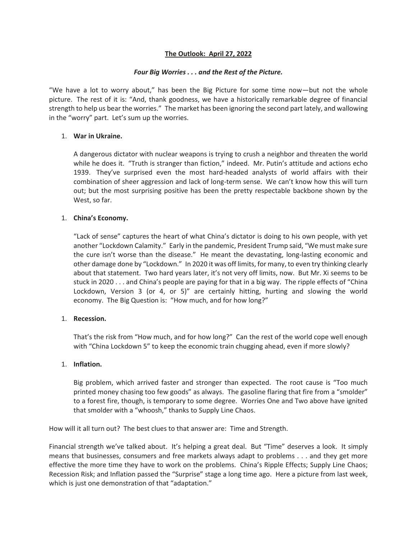# **The Outlook: April 27, 2022**

### *Four Big Worries . . . and the Rest of the Picture.*

"We have a lot to worry about," has been the Big Picture for some time now—but not the whole picture. The rest of it is: "And, thank goodness, we have a historically remarkable degree of financial strength to help us bear the worries." The market has been ignoring the second part lately, and wallowing in the "worry" part. Let's sum up the worries.

# 1. **War in Ukraine.**

A dangerous dictator with nuclear weapons is trying to crush a neighbor and threaten the world while he does it. "Truth is stranger than fiction," indeed. Mr. Putin's attitude and actions echo 1939. They've surprised even the most hard-headed analysts of world affairs with their combination of sheer aggression and lack of long-term sense. We can't know how this will turn out; but the most surprising positive has been the pretty respectable backbone shown by the West, so far.

# 1. **China's Economy.**

"Lack of sense" captures the heart of what China's dictator is doing to his own people, with yet another "Lockdown Calamity." Early in the pandemic, President Trump said, "We must make sure the cure isn't worse than the disease." He meant the devastating, long-lasting economic and other damage done by "Lockdown." In 2020 it was off limits, for many, to even try thinking clearly about that statement. Two hard years later, it's not very off limits, now. But Mr. Xi seems to be stuck in 2020 . . . and China's people are paying for that in a big way. The ripple effects of "China Lockdown, Version 3 (or 4, or 5)" are certainly hitting, hurting and slowing the world economy. The Big Question is: "How much, and for how long?"

# 1. **Recession.**

That's the risk from "How much, and for how long?" Can the rest of the world cope well enough with "China Lockdown 5" to keep the economic train chugging ahead, even if more slowly?

# 1. **Inflation.**

Big problem, which arrived faster and stronger than expected. The root cause is "Too much printed money chasing too few goods" as always. The gasoline flaring that fire from a "smolder" to a forest fire, though, is temporary to some degree. Worries One and Two above have ignited that smolder with a "whoosh," thanks to Supply Line Chaos.

How will it all turn out? The best clues to that answer are: Time and Strength.

Financial strength we've talked about. It's helping a great deal. But "Time" deserves a look. It simply means that businesses, consumers and free markets always adapt to problems . . . and they get more effective the more time they have to work on the problems. China's Ripple Effects; Supply Line Chaos; Recession Risk; and Inflation passed the "Surprise" stage a long time ago. Here a picture from last week, which is just one demonstration of that "adaptation."